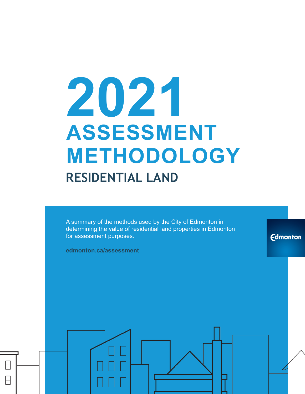# **2021 ASSESSMENT METHODOLOGY RESIDENTIAL LAND**

A summary of the methods used by the City of Edmonton in determining the value of residential land properties in Edmonton for assessment purposes.

**Edmonton** 

**edmonton.ca/assessment**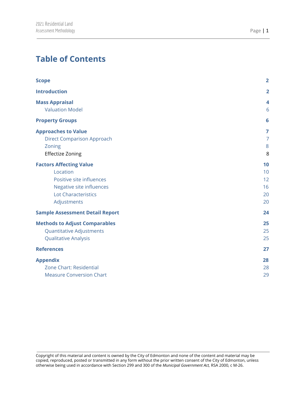## **Table of Contents**

| <b>Scope</b>                                    | $\overline{2}$ |
|-------------------------------------------------|----------------|
| <b>Introduction</b>                             | $\overline{2}$ |
|                                                 |                |
| <b>Mass Appraisal</b><br><b>Valuation Model</b> | 4<br>6         |
|                                                 |                |
| <b>Property Groups</b>                          | 6              |
| <b>Approaches to Value</b>                      | $\overline{7}$ |
| <b>Direct Comparison Approach</b>               | $\overline{7}$ |
| Zoning                                          | 8              |
| Effectize Zoning                                | 8              |
| <b>Factors Affecting Value</b>                  | 10             |
| Location                                        | 10             |
| Positive site influences                        | 12             |
| Negative site influences                        | 16             |
| <b>Lot Characteristics</b>                      | 20             |
| Adjustments                                     | 20             |
| <b>Sample Assessment Detail Report</b>          | 24             |
| <b>Methods to Adjust Comparables</b>            | 25             |
| <b>Quantitative Adjustments</b>                 | 25             |
| <b>Qualitative Analysis</b>                     | 25             |
| <b>References</b>                               | 27             |
| <b>Appendix</b>                                 | 28             |
| Zone Chart: Residential                         | 28             |
| <b>Measure Conversion Chart</b>                 | 29             |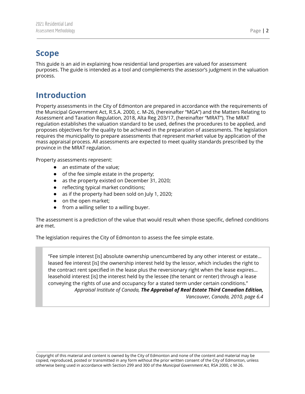## <span id="page-2-0"></span>**Scope**

This guide is an aid in explaining how residential land properties are valued for assessment purposes. The guide is intended as a tool and complements the assessor's judgment in the valuation process.

## <span id="page-2-1"></span>**Introduction**

Property assessments in the City of Edmonton are prepared in accordance with the requirements of the Municipal Government Act, R.S.A. 2000, c. M-26, (hereinafter "MGA") and the Matters Relating to Assessment and Taxation Regulation, 2018, Alta Reg 203/17, (hereinafter "MRAT"). The MRAT regulation establishes the valuation standard to be used, defines the procedures to be applied, and proposes objectives for the quality to be achieved in the preparation of assessments. The legislation requires the municipality to prepare assessments that represent market value by application of the mass appraisal process. All assessments are expected to meet quality standards prescribed by the province in the MRAT regulation.

Property assessments represent:

- an estimate of the value;
- of the fee simple estate in the property;
- as the property existed on December 31, 2020;
- reflecting typical market conditions;
- as if the property had been sold on July 1, 2020;
- on the open market;
- from a willing seller to a willing buyer.

The assessment is a prediction of the value that would result when those specific, defined conditions are met.

The legislation requires the City of Edmonton to assess the fee simple estate.

"Fee simple interest [is] absolute ownership unencumbered by any other interest or estate… leased fee interest [is] the ownership interest held by the lessor, which includes the right to the contract rent specified in the lease plus the reversionary right when the lease expires… leasehold interest [is] the interest held by the lessee (the tenant or renter) through a lease conveying the rights of use and occupancy for a stated term under certain conditions." *Appraisal Institute of Canada, The Appraisal of Real Estate Third Canadian Edition, Vancouver, Canada, 2010, page 6.4*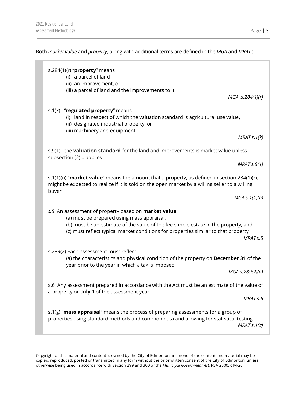Both *market value* and *property,* along with additional terms are defined in the *MGA* and *MRAT* :

| s.284(1)(r) " $proper$ y means<br>(i) a parcel of land<br>(ii) an improvement, or<br>(iii) a parcel of land and the improvements to it<br>MGA.s.284(1)(r)                                                                                                                                            |
|------------------------------------------------------------------------------------------------------------------------------------------------------------------------------------------------------------------------------------------------------------------------------------------------------|
| s.1(k) "regulated property" means<br>(i) land in respect of which the valuation standard is agricultural use value,<br>(ii) designated industrial property, or<br>(iii) machinery and equipment<br>MRATs.1(k)                                                                                        |
| s.9(1) the <b>valuation standard</b> for the land and improvements is market value unless<br>subsection (2) applies<br>MRAT S.9(1)                                                                                                                                                                   |
| s.1(1)(n) "market value" means the amount that a property, as defined in section 284(1)(r),<br>might be expected to realize if it is sold on the open market by a willing seller to a willing<br>buyer<br>$MGA \simeq 1(1)(n)$                                                                       |
| s.5 An assessment of property based on market value<br>(a) must be prepared using mass appraisal,<br>(b) must be an estimate of the value of the fee simple estate in the property, and<br>(c) must reflect typical market conditions for properties similar to that property<br>MRAT <sub>s.5</sub> |
| s.289(2) Each assessment must reflect<br>(a) the characteristics and physical condition of the property on December 31 of the<br>year prior to the year in which a tax is imposed<br>MGA s.289(2)(a)                                                                                                 |
| s.6 Any assessment prepared in accordance with the Act must be an estimate of the value of<br>a property on July 1 of the assessment year<br>MRAT <sub>s.6</sub>                                                                                                                                     |
| s.1(g) "mass appraisal" means the process of preparing assessments for a group of<br>properties using standard methods and common data and allowing for statistical testing<br>MRAT $s.1(g)$                                                                                                         |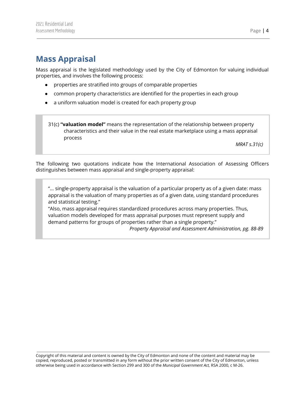## <span id="page-4-0"></span>**Mass Appraisal**

Mass appraisal is the legislated methodology used by the City of Edmonton for valuing individual properties, and involves the following process:

- properties are stratified into groups of comparable properties
- common property characteristics are identified for the properties in each group
- a uniform valuation model is created for each property group

31(c) **"valuation model"** means the representation of the relationship between property characteristics and their value in the real estate marketplace using a mass appraisal process

*MRAT s.31(c)*

The following two quotations indicate how the International Association of Assessing Officers distinguishes between mass appraisal and single-property appraisal:

"... single-property appraisal is the valuation of a particular property as of a given date: mass appraisal is the valuation of many properties as of a given date, using standard procedures and statistical testing."

"Also, mass appraisal requires standardized procedures across many properties. Thus, valuation models developed for mass appraisal purposes must represent supply and demand patterns for groups of properties rather than a single property."

*Property Appraisal and Assessment Administration, pg. 88-89*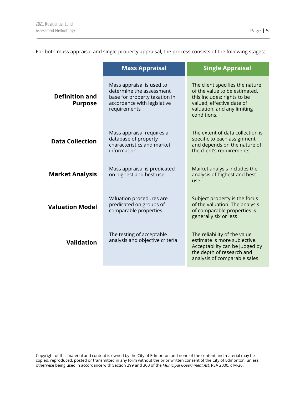For both mass appraisal and single-property appraisal, the process consists of the following stages:

|                                                                                   | <b>Mass Appraisal</b>                                                                                                                                                                                    | <b>Single Appraisal</b>                                                                                                                                                    |
|-----------------------------------------------------------------------------------|----------------------------------------------------------------------------------------------------------------------------------------------------------------------------------------------------------|----------------------------------------------------------------------------------------------------------------------------------------------------------------------------|
| <b>Definition and</b><br><b>Purpose</b>                                           | Mass appraisal is used to<br>determine the assessment<br>base for property taxation in<br>accordance with legislative<br>requirements                                                                    | The client specifies the nature<br>of the value to be estimated,<br>this includes: rights to be<br>valued, effective date of<br>valuation, and any limiting<br>conditions. |
| <b>Data Collection</b>                                                            | Mass appraisal requires a<br>database of property<br>characteristics and market<br>information.                                                                                                          | The extent of data collection is<br>specific to each assignment<br>and depends on the nature of<br>the client's requirements.                                              |
| <b>Market Analysis</b>                                                            | Mass appraisal is predicated<br>on highest and best use.                                                                                                                                                 | Market analysis includes the<br>analysis of highest and best<br>use                                                                                                        |
| <b>Valuation Model</b>                                                            | Valuation procedures are<br>Subject property is the focus<br>predicated on groups of<br>of the valuation. The analysis<br>comparable properties.<br>of comparable properties is<br>generally six or less |                                                                                                                                                                            |
| The testing of acceptable<br>analysis and objective criteria<br><b>Validation</b> |                                                                                                                                                                                                          | The reliability of the value<br>estimate is more subjective.<br>Acceptability can be judged by<br>the depth of research and<br>analysis of comparable sales                |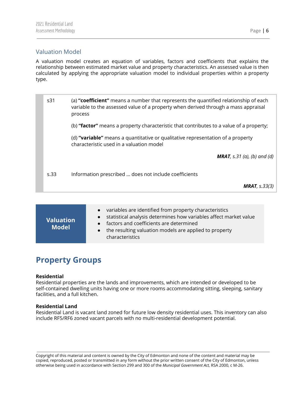#### <span id="page-6-0"></span>Valuation Model

A valuation model creates an equation of variables, factors and coefficients that explains the relationship between estimated market value and property characteristics. An assessed value is then calculated by applying the appropriate valuation model to individual properties within a property type.

s31 (a) **"coefficient"** means a number that represents the quantified relationship of each variable to the assessed value of a property when derived through a mass appraisal process (b) **"factor"** means a property characteristic that contributes to a value of a property; (d) **"variable"** means a quantitative or qualitative representation of a property characteristic used in a valuation model *MRAT, s.31 (a), (b) and (d)* s.33 Information prescribed … does not include coefficients *MRAT, s.33(3)*

| <b>Valuation</b><br><b>Model</b> | variables are identified from property characteristics<br>statistical analysis determines how variables affect market value<br>• factors and coefficients are determined<br>the resulting valuation models are applied to property<br>$\bullet$<br>characteristics |
|----------------------------------|--------------------------------------------------------------------------------------------------------------------------------------------------------------------------------------------------------------------------------------------------------------------|
|----------------------------------|--------------------------------------------------------------------------------------------------------------------------------------------------------------------------------------------------------------------------------------------------------------------|

## <span id="page-6-1"></span>**Property Groups**

#### **Residential**

Residential properties are the lands and improvements, which are intended or developed to be self-contained dwelling units having one or more rooms accommodating sitting, sleeping, sanitary facilities, and a full kitchen.

#### **Residential Land**

Residential Land is vacant land zoned for future low density residential uses. This inventory can also include RF5/RF6 zoned vacant parcels with no multi-residential development potential.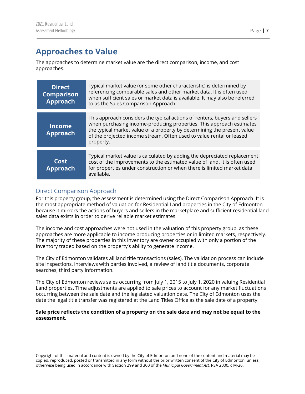## <span id="page-7-0"></span>**Approaches to Value**

The approaches to determine market value are the direct comparison, income, and cost approaches.

| <b>Direct</b><br><b>Comparison</b><br><b>Approach</b> | Typical market value (or some other characteristic) is determined by<br>referencing comparable sales and other market data. It is often used<br>when sufficient sales or market data is available. It may also be referred<br>to as the Sales Comparison Approach.                                                 |
|-------------------------------------------------------|--------------------------------------------------------------------------------------------------------------------------------------------------------------------------------------------------------------------------------------------------------------------------------------------------------------------|
| <b>Income</b><br><b>Approach</b>                      | This approach considers the typical actions of renters, buyers and sellers<br>when purchasing income-producing properties. This approach estimates<br>the typical market value of a property by determining the present value<br>of the projected income stream. Often used to value rental or leased<br>property. |
| Cost<br><b>Approach</b>                               | Typical market value is calculated by adding the depreciated replacement<br>cost of the improvements to the estimated value of land. It is often used<br>for properties under construction or when there is limited market data<br>available.                                                                      |

#### <span id="page-7-1"></span>Direct Comparison Approach

For this property group, the assessment is determined using the Direct Comparison Approach. It is the most appropriate method of valuation for Residential Land properties in the City of Edmonton because it mirrors the actions of buyers and sellers in the marketplace and sufficient residential land sales data exists in order to derive reliable market estimates.

The income and cost approaches were not used in the valuation of this property group, as these approaches are more applicable to income producing properties or in limited markets, respectively. The majority of these properties in this inventory are owner occupied with only a portion of the inventory traded based on the property's ability to generate income.

The City of Edmonton validates all land title transactions (sales). The validation process can include site inspections, interviews with parties involved, a review of land title documents, corporate searches, third party information.

The City of Edmonton reviews sales occurring from July 1, 2015 to July 1, 2020 in valuing Residential Land properties. Time adjustments are applied to sale prices to account for any market fluctuations occurring between the sale date and the legislated valuation date. The City of Edmonton uses the date the legal title transfer was registered at the Land Titles Office as the sale date of a property.

#### Sale price reflects the condition of a property on the sale date and may not be equal to the **assessment.**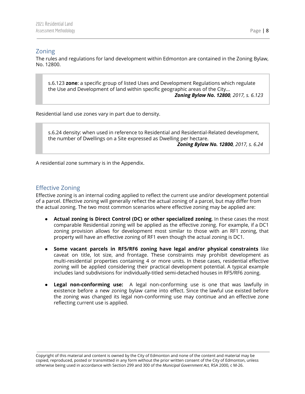#### <span id="page-8-0"></span>Zoning

The rules and regulations for land development within Edmonton are contained in the Zoning Bylaw, No. 12800.

s.6.123 **zone**: a specific group of listed Uses and Development Regulations which regulate the Use and Development of land within specific geographic areas of the City... *Zoning Bylaw No. 12800, 2017, s. 6.123*

Residential land use zones vary in part due to density.

s.6.24 density: when used in reference to Residential and Residential-Related development, the number of Dwellings on a Site expressed as Dwelling per hectare. *Zoning Bylaw No. 12800, 2017, s. 6.24*

A residential zone summary is in the Appendix.

#### <span id="page-8-1"></span>Effective Zoning

Effective zoning is an internal coding applied to reflect the current use and/or development potential of a parcel. Effective zoning will generally reflect the actual zoning of a parcel, but may differ from the actual zoning. The two most common scenarios where effective zoning may be applied are:

- **Actual zoning is Direct Control (DC) or other specialized zoning**. In these cases the most comparable Residential zoning will be applied as the effective zoning. For example, if a DC1 zoning provision allows for development most similar to those with an RF1 zoning, that property will have an effective zoning of RF1 even though the actual zoning is DC1.
- **Some vacant parcels in RF5/RF6 zoning have legal and/or physical constraints** like caveat on title, lot size, and frontage. These constraints may prohibit development as multi-residential properties containing 4 or more units. In these cases, residential effective zoning will be applied considering their practical development potential. A typical example includes land subdivisions for individually-titled semi-detached houses in RF5/RF6 zoning.
- **Legal non-conforming use:** A legal non-conforming use is one that was lawfully in existence before a new zoning bylaw came into effect. Since the lawful use existed before the zoning was changed its legal non-conforming use may continue and an effective zone reflecting current use is applied.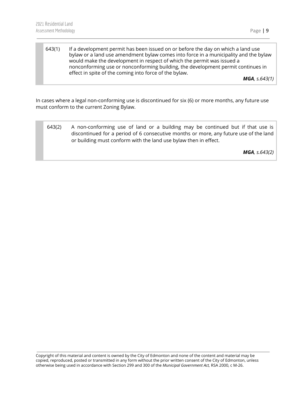643(1) If a development permit has been issued on or before the day on which a land use bylaw or a land use amendment bylaw comes into force in a municipality and the bylaw would make the development in respect of which the permit was issued a nonconforming use or nonconforming building, the development permit continues in effect in spite of the coming into force of the bylaw.

*MGA, s.643(1)*

In cases where a legal non-conforming use is discontinued for six (6) or more months, any future use must conform to the current Zoning Bylaw.

643(2) A non-conforming use of land or a building may be continued but if that use is discontinued for a period of 6 consecutive months or more, any future use of the land or building must conform with the land use bylaw then in effect.

*MGA, s.643(2)*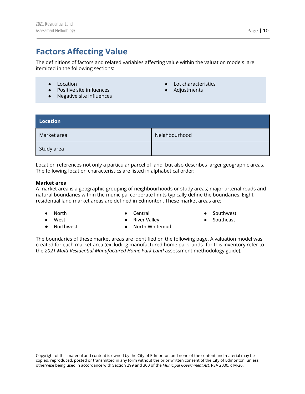## <span id="page-10-0"></span>**Factors Affecting Value**

The definitions of factors and related variables affecting value within the valuation models are itemized in the following sections:

- Location
- Positive site influences
- Negative site influences
- Lot characteristics
- Adjustments

<span id="page-10-1"></span>

| <b>Location</b> |               |
|-----------------|---------------|
| Market area     | Neighbourhood |
| Study area      |               |

Location references not only a particular parcel of land, but also describes larger geographic areas. The following location characteristics are listed in alphabetical order:

#### **Market area**

A market area is a geographic grouping of neighbourhoods or study areas; major arterial roads and natural boundaries within the municipal corporate limits typically define the boundaries. Eight residential land market areas are defined in Edmonton. These market areas are:

● North ● West

● Central ● River Valley

- Southwest
- Southeast

● Northwest

● North Whitemud

The boundaries of these market areas are identified on the following page. A valuation model was created for each market area (excluding manufactured home park lands- for this inventory refer to the *2021 Multi-Residential Manufactured Home Park Land* assessment methodology guide).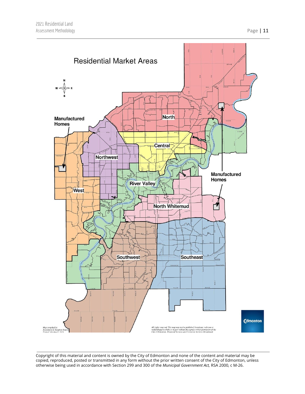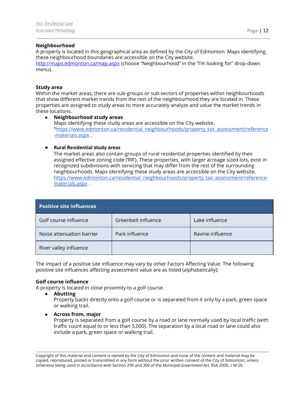#### **Neighbourhood**

A property is located in this geographical area as defined by the City of Edmonton. Maps identifying these neighbourhood boundaries are accessible on the City website,

<http://maps.edmonton.ca/map.aspx> (choose "Neighbourhood" in the "I'm looking for" drop-down menu).

#### **Study area**

Within the market areas, there are sub-groups or sub-sectors of properties within neighbourhoods that show different market trends from the rest of the neighbourhood they are located in. These properties are assigned to study areas to more accurately analyze and value the market trends in these locations.

#### ● **Neighbourhood study areas** Maps identifying these study areas are accessible on the City website, "[https://www.edmonton.ca/residential\\_neighbourhoods/property\\_tax\\_assessment/reference](https://www.edmonton.ca/residential_neighbourhoods/property_tax_assessment/reference-materials.aspx) [-materials.aspx](https://www.edmonton.ca/residential_neighbourhoods/property_tax_assessment/reference-materials.aspx) .

#### ● **Rural Residential study areas**

The market areas also contain groups of rural residential properties identified by their assigned effective zoning code ('RR'). These properties, with larger acreage sized lots, exist in recognized subdivisions with servicing that may differ from the rest of the surrounding neighbourhoods. Maps identifying these study areas are accessible on the City website, [https://www.edmonton.ca/residential\\_neighbourhoods/property\\_tax\\_assessment/reference](https://www.edmonton.ca/residential_neighbourhoods/property_tax_assessment/reference-materials.aspx)[materials.aspx](https://www.edmonton.ca/residential_neighbourhoods/property_tax_assessment/reference-materials.aspx) .

<span id="page-12-0"></span>

| <b>Positive site influences</b> |                     |                  |  |
|---------------------------------|---------------------|------------------|--|
| Golf course influence           | Greenbelt influence | Lake influence   |  |
| Noise attenuation barrier       | Park influence      | Ravine influence |  |
| River valley influence          |                     |                  |  |

The impact of a positive site influence may vary by other Factors Affecting Value. The following positive site influences affecting assessment value are as listed (alphabetically):

#### **Golf course influence**

A property is located in close proximity to a golf course.

- **● Abutting** Property backs directly onto a golf course or is separated from it only by a park, green space or walking trail.
- **● Across from, major**

Property is separated from a golf course by a road or lane normally used by local traffic (with traffic count equal to or less than 5,000). The separation by a local road or lane could also include a park, green space or walking trail.

Copyright of this material and content is owned by the City of Edmonton and none of the content and material may be copied, reproduced, posted or transmitted in any form without the prior written consent of the City of Edmonton, unless otherwise being used in accordance with Section 299 and 300 of the *Municipal Government Act,* RSA 2000, c M-26.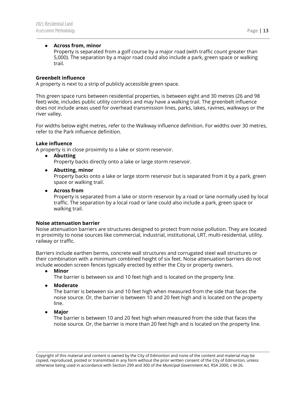#### **● Across from, minor**

Property is separated from a golf course by a major road (with traffic count greater than 5,000). The separation by a major road could also include a park, green space or walking trail.

#### **Greenbelt influence**

A property is next to a strip of publicly accessible green space.

This green space runs between residential properties, is between eight and 30 metres (26 and 98 feet) wide, includes public utility corridors and may have a walking trail. The greenbelt influence does not include areas used for overhead transmission lines, parks, lakes, ravines, walkways or the river valley.

For widths below eight metres, refer to the Walkway influence definition. For widths over 30 metres, refer to the Park influence definition.

#### **Lake influence**

A property is in close proximity to a lake or storm reservoir.

**● Abutting**

Property backs directly onto a lake or large storm reservoir.

**● Abutting, minor**

Property backs onto a lake or large storm reservoir but is separated from it by a park, green space or walking trail.

#### **● Across from**

Property is separated from a lake or storm reservoir by a road or lane normally used by local traffic. The separation by a local road or lane could also include a park, green space or walking trail.

#### **Noise attenuation barrier**

Noise attenuation barriers are structures designed to protect from noise pollution. They are located in proximity to noise sources like commercial, industrial, institutional, LRT, multi-residential, utility, railway or traffic.

Barriers include earthen berms, concrete wall structures and corrugated steel wall structures or their combination with a minimum combined height of six feet. Noise attenuation barriers do not include wooden screen fences typically erected by either the City or property owners.

**● Minor**

The barrier is between six and 10 feet high and is located on the property line.

**● Moderate**

The barrier is between six and 10 feet high when measured from the side that faces the noise source. Or, the barrier is between 10 and 20 feet high and is located on the property line.

**● Major**

The barrier is between 10 and 20 feet high when measured from the side that faces the noise source. Or, the barrier is more than 20 feet high and is located on the property line.

Copyright of this material and content is owned by the City of Edmonton and none of the content and material may be copied, reproduced, posted or transmitted in any form without the prior written consent of the City of Edmonton, unless otherwise being used in accordance with Section 299 and 300 of the *Municipal Government Act,* RSA 2000, c M-26.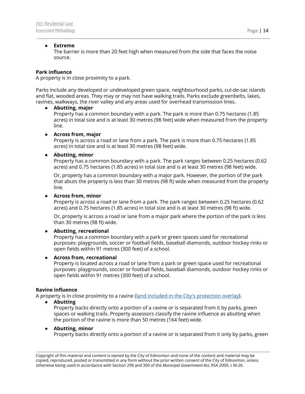#### **● Extreme**

The barrier is more than 20 feet high when measured from the side that faces the noise source.

#### **Park influence**

A property is in close proximity to a park.

Parks include any developed or undeveloped green space, neighbourhood parks, cul-de-sac islands and flat, wooded areas. They may or may not have walking trails. Parks exclude greenbelts, lakes, ravines, walkways, the river valley and any areas used for overhead transmission lines.

#### **● Abutting, major**

Property has a common boundary with a park. The park is more than 0.75 hectares (1.85 acres) in total size and is at least 30 metres (98 feet) wide when measured from the property line.

#### **● Across from, major**

Property is across a road or lane from a park. The park is more than 0.75 hectares (1.85 acres) in total size and is at least 30 metres (98 feet) wide.

#### **● Abutting, minor**

Property has a common boundary with a park. The park ranges between 0.25 hectares (0.62 acres) and 0.75 hectares (1.85 acres) in total size and is at least 30 metres (98 feet) wide.

Or, property has a common boundary with a major park. However, the portion of the park that abuts the property is less than 30 metres (98 ft) wide when measured from the property line.

#### **● Across from, minor**

Property is across a road or lane from a park. The park ranges between 0.25 hectares (0.62 acres) and 0.75 hectares (1.85 acres) in total size and is at least 30 metres (98 ft) wide.

Or, property is across a road or lane from a major park where the portion of the park is less than 30 metres (98 ft) wide.

#### **● Abutting, recreational**

Property has a common boundary with a park or green spaces used for recreational purposes: playgrounds, soccer or football fields, baseball diamonds, outdoor hockey rinks or open fields within 91 metres (300 feet) of a school.

#### **● Across from, recreational**

Property is located across a road or lane from a park or green space used for recreational purposes: playgrounds, soccer or football fields, baseball diamonds, outdoor hockey rinks or open fields within 91 metres (300 feet) of a school.

#### **Ravine influence**

A property is in close proximity to a ravine (land included in the City's [protection](https://webdocs.edmonton.ca/zoningbylaw/ZoningBylaw/Part2/Overlays/811_North_Saskatchewan_River_Valley_and_Ravine_System_Protection_Overlay.htm) overlay).

**● Abutting**

Property backs directly onto a portion of a ravine or is separated from it by parks, green spaces or walking trails. Property assessors classify the ravine influence as abutting when the portion of the ravine is more than 50 metres (164 feet) wide.

#### **● Abutting, minor**

Property backs directly onto a portion of a ravine or is separated from it only by parks, green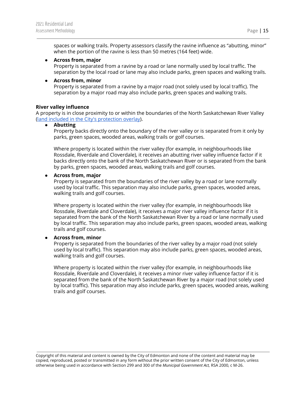spaces or walking trails. Property assessors classify the ravine influence as "abutting, minor" when the portion of the ravine is less than 50 metres (164 feet) wide.

#### **● Across from, major**

Property is separated from a ravine by a road or lane normally used by local traffic. The separation by the local road or lane may also include parks, green spaces and walking trails.

#### **● Across from, minor**

Property is separated from a ravine by a major road (not solely used by local traffic). The separation by a major road may also include parks, green spaces and walking trails.

#### **River valley influence**

A property is in close proximity to or within the boundaries of the North Saskatchewan River Valley (land included in the City's [protection](https://webdocs.edmonton.ca/zoningbylaw/ZoningBylaw/Part2/Overlays/811_North_Saskatchewan_River_Valley_and_Ravine_System_Protection_Overlay.htm) overlay).

#### **● Abutting**

Property backs directly onto the boundary of the river valley or is separated from it only by parks, green spaces, wooded areas, walking trails or golf courses.

Where property is located within the river valley (for example, in neighbourhoods like Rossdale, Riverdale and Cloverdale), it receives an abutting river valley influence factor if it backs directly onto the bank of the North Saskatchewan River or is separated from the bank by parks, green spaces, wooded areas, walking trails and golf courses.

#### **● Across from, major**

Property is separated from the boundaries of the river valley by a road or lane normally used by local traffic. This separation may also include parks, green spaces, wooded areas, walking trails and golf courses.

Where property is located within the river valley (for example, in neighbourhoods like Rossdale, Riverdale and Cloverdale), it receives a major river valley influence factor if it is separated from the bank of the North Saskatchewan River by a road or lane normally used by local traffic. This separation may also include parks, green spaces, wooded areas, walking trails and golf courses.

#### **● Across from, minor**

Property is separated from the boundaries of the river valley by a major road (not solely used by local traffic). This separation may also include parks, green spaces, wooded areas, walking trails and golf courses.

Where property is located within the river valley (for example, in neighbourhoods like Rossdale, Riverdale and Cloverdale), it receives a minor river valley influence factor if it is separated from the bank of the North Saskatchewan River by a major road (not solely used by local traffic). This separation may also include parks, green spaces, wooded areas, walking trails and golf courses.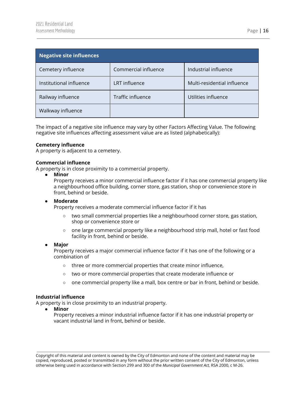<span id="page-16-0"></span>

| Negative site influences |                      |                             |
|--------------------------|----------------------|-----------------------------|
| Cemetery influence       | Commercial influence | Industrial influence        |
| Institutional influence  | LRT influence        | Multi-residential influence |
| Railway influence        | Traffic influence    | Utilities influence         |
| Walkway influence        |                      |                             |

The impact of a negative site influence may vary by other Factors Affecting Value. The following negative site influences affecting assessment value are as listed (alphabetically):

#### **Cemetery influence**

A property is adjacent to a cemetery.

#### **Commercial influence**

A property is in close proximity to a commercial property.

**● Minor**

Property receives a minor commercial influence factor if it has one commercial property like a neighbourhood office building, corner store, gas station, shop or convenience store in front, behind or beside.

#### **● Moderate**

Property receives a moderate commercial influence factor if it has

- **○** two small commercial properties like a neighbourhood corner store, gas station, shop or convenience store or
- **○** one large commercial property like a neighbourhood strip mall, hotel or fast food facility in front, behind or beside.

#### **● Major**

Property receives a major commercial influence factor if it has one of the following or a combination of

- **○** three or more commercial properties that create minor influence,
- **○** two or more commercial properties that create moderate influence or
- **○** one commercial property like a mall, box centre or bar in front, behind or beside.

#### **Industrial influence**

A property is in close proximity to an industrial property.

**● Minor**

Property receives a minor industrial influence factor if it has one industrial property or vacant industrial land in front, behind or beside.

Copyright of this material and content is owned by the City of Edmonton and none of the content and material may be copied, reproduced, posted or transmitted in any form without the prior written consent of the City of Edmonton, unless otherwise being used in accordance with Section 299 and 300 of the *Municipal Government Act,* RSA 2000, c M-26.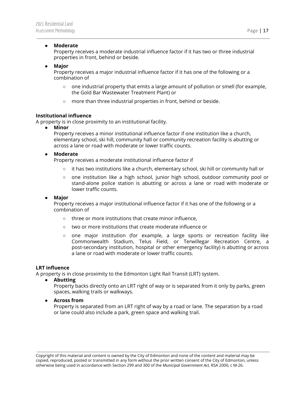#### ● **Moderate**

Property receives a moderate industrial influence factor if it has two or three industrial properties in front, behind or beside.

#### ● **Major**

Property receives a major industrial influence factor if it has one of the following or a combination of

- $\circ$  one industrial property that emits a large amount of pollution or smell (for example, the Gold Bar Wastewater Treatment Plant) or
- more than three industrial properties in front, behind or beside.

#### **Institutional influence**

A property is in close proximity to an institutional facility.

**● Minor**

Property receives a minor institutional influence factor if one institution like a church, elementary school, ski hill, community hall or community recreation facility is abutting or across a lane or road with moderate or lower traffic counts.

#### **● Moderate**

Property receives a moderate institutional influence factor if

- **○** it has two institutions like a church, elementary school, ski hill or community hall or
- **○** one institution like a high school, junior high school, outdoor community pool or stand-alone police station is abutting or across a lane or road with moderate or lower traffic counts.

#### **● Major**

Property receives a major institutional influence factor if it has one of the following or a combination of

- **○** three or more institutions that create minor influence,
- **○** two or more institutions that create moderate influence or
- **○** one major institution (for example, a large sports or recreation facility like Commonwealth Stadium, Telus Field, or Terwillegar Recreation Centre, a post-secondary institution, hospital or other emergency facility) is abutting or across a lane or road with moderate or lower traffic counts.

#### **LRT influence**

A property is in close proximity to the Edmonton Light Rail Transit (LRT) system.

**● Abutting**

Property backs directly onto an LRT right of way or is separated from it only by parks, green spaces, walking trails or walkways.

**● Across from**

Property is separated from an LRT right of way by a road or lane. The separation by a road or lane could also include a park, green space and walking trail.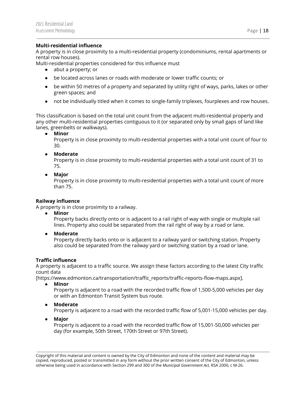A property is in close proximity to a multi-residential property (condominiums, rental apartments or rental row houses).

Multi-residential properties considered for this influence must

- abut a property; or
- be located across lanes or roads with moderate or lower traffic counts; or
- be within 50 metres of a property and separated by utility right of ways, parks, lakes or other green spaces; and
- not be individually titled when it comes to single-family triplexes, fourplexes and row houses.

This classification is based on the total unit count from the adjacent multi-residential property and any other multi-residential properties contiguous to it (or separated only by small gaps of land like lanes, greenbelts or walkways).

**● Minor**

Property is in close proximity to multi-residential properties with a total unit count of four to 30.

#### **● Moderate**

Property is in close proximity to multi-residential properties with a total unit count of 31 to 75.

#### **● Major**

Property is in close proximity to multi-residential properties with a total unit count of more than 75.

#### **Railway influence**

A property is in close proximity to a railway.

**● Minor**

Property backs directly onto or is adjacent to a rail right of way with single or multiple rail lines. Property also could be separated from the rail right of way by a road or lane.

**● Moderate**

Property directly backs onto or is adjacent to a railway yard or switching station. Property also could be separated from the railway yard or switching station by a road or lane.

#### **Traffic influence**

A property is adjacent to a traffic source. We assign these factors according to the latest City traffic count data

[https://www.edmonton.ca/transportation/traffic\_reports/traffic-reports-flow-maps.aspx].

**● Minor**

Property is adjacent to a road with the recorded traffic flow of 1,500-5,000 vehicles per day or with an Edmonton Transit System bus route.

**● Moderate**

Property is adjacent to a road with the recorded traffic flow of 5,001-15,000 vehicles per day.

**● Major**

Property is adjacent to a road with the recorded traffic flow of 15,001-50,000 vehicles per day (for example, 50th Street, 170th Street or 97th Street).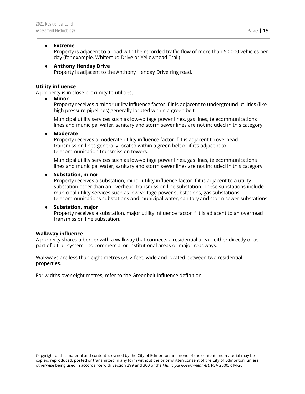#### **● Extreme**

Property is adjacent to a road with the recorded traffic flow of more than 50,000 vehicles per day (for example, Whitemud Drive or Yellowhead Trail)

#### **● Anthony Henday Drive**

Property is adjacent to the Anthony Henday Drive ring road.

#### **Utility influence**

A property is in close proximity to utilities.

**● Minor**

Property receives a minor utility influence factor if it is adjacent to underground utilities (like high pressure pipelines) generally located within a green belt.

Municipal utility services such as low-voltage power lines, gas lines, telecommunications lines and municipal water, sanitary and storm sewer lines are not included in this category.

#### **● Moderate**

Property receives a moderate utility influence factor if it is adjacent to overhead transmission lines generally located within a green belt or if it's adjacent to telecommunication transmission towers.

Municipal utility services such as low-voltage power lines, gas lines, telecommunications lines and municipal water, sanitary and storm sewer lines are not included in this category.

#### **● Substation, minor**

Property receives a substation, minor utility influence factor if it is adjacent to a utility substation other than an overhead transmission line substation. These substations include municipal utility services such as low-voltage power substations, gas substations, telecommunications substations and municipal water, sanitary and storm sewer substations

#### **● Substation, major**

Property receives a substation, major utility influence factor if it is adjacent to an overhead transmission line substation.

#### **Walkway influence**

A property shares a border with a walkway that connects a residential area—either directly or as part of a trail system—to commercial or institutional areas or major roadways.

Walkways are less than eight metres (26.2 feet) wide and located between two residential properties.

For widths over eight metres, refer to the Greenbelt influence definition.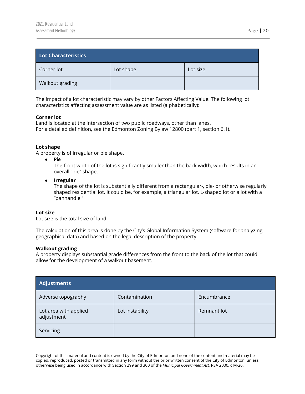<span id="page-20-0"></span>

| Lot Characteristics |           |          |  |
|---------------------|-----------|----------|--|
| Corner lot          | Lot shape | Lot size |  |
| Walkout grading     |           |          |  |

The impact of a lot characteristic may vary by other Factors Affecting Value. The following lot characteristics affecting assessment value are as listed (alphabetically):

#### **Corner lot**

Land is located at the intersection of two public roadways, other than lanes. For a detailed definition, see the Edmonton Zoning Bylaw 12800 (part 1, section 6.1).

#### **Lot shape**

A property is of irregular or pie shape.

● **Pie**

The front width of the lot is significantly smaller than the back width, which results in an overall "pie" shape.

**● Irregular** The shape of the lot is substantially different from a rectangular-, pie- or otherwise regularly shaped residential lot. It could be, for example, a triangular lot, L-shaped lot or a lot with a "panhandle."

#### **Lot size**

Lot size is the total size of land.

The calculation of this area is done by the City's Global Information System (software for analyzing geographical data) and based on the legal description of the property.

#### **Walkout grading**

A property displays substantial grade differences from the front to the back of the lot that could allow for the development of a walkout basement.

<span id="page-20-1"></span>

| Adjustments                         |                 |             |
|-------------------------------------|-----------------|-------------|
| Adverse topography                  | Contamination   | Encumbrance |
| Lot area with applied<br>adjustment | Lot instability | Remnant lot |
| Servicing                           |                 |             |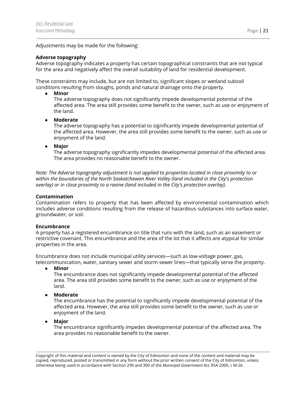Adjustments may be made for the following:

#### **Adverse topography**

Adverse topography indicates a property has certain topographical constraints that are not typical for the area and negatively affect the overall suitability of land for residential development.

These constraints may include, but are not limited to, significant slopes or wetland subsoil conditions resulting from sloughs, ponds and natural drainage onto the property.

**● Minor**

The adverse topography does not significantly impede developmental potential of the affected area. The area still provides some benefit to the owner, such as use or enjoyment of the land.

**● Moderate**

The adverse topography has a potential to significantly impede developmental potential of the affected area. However, the area still provides some benefit to the owner, such as use or enjoyment of the land.

**● Major**

The adverse topography significantly impedes developmental potential of the affected area. The area provides no reasonable benefit to the owner.

*Note: The Adverse topography adjustment is not applied to properties located in close proximity to or within the boundaries of the North Saskatchewan River Valley (land included in the City's protection overlay) or in close proximity to a ravine (land included in the City's protection overlay).*

#### **Contamination**

Contamination refers to property that has been affected by environmental contamination which includes adverse conditions resulting from the release of hazardous substances into surface water, groundwater, or soil.

#### **Encumbrance**

A property has a registered encumbrance on title that runs with the land, such as an easement or restrictive covenant. This encumbrance and the area of the lot that it affects are atypical for similar properties in the area.

Encumbrance does not include municipal utility services—such as low-voltage power, gas, telecommunication, water, sanitary sewer and storm sewer lines—that typically serve the property.

**● Minor**

The encumbrance does not significantly impede developmental potential of the affected area. The area still provides some benefit to the owner, such as use or enjoyment of the land.

**● Moderate**

The encumbrance has the potential to significantly impede developmental potential of the affected area. However, the area still provides some benefit to the owner, such as use or enjoyment of the land.

**● Major**

The encumbrance significantly impedes developmental potential of the affected area. The area provides no reasonable benefit to the owner.

Copyright of this material and content is owned by the City of Edmonton and none of the content and material may be copied, reproduced, posted or transmitted in any form without the prior written consent of the City of Edmonton, unless otherwise being used in accordance with Section 299 and 300 of the *Municipal Government Act,* RSA 2000, c M-26.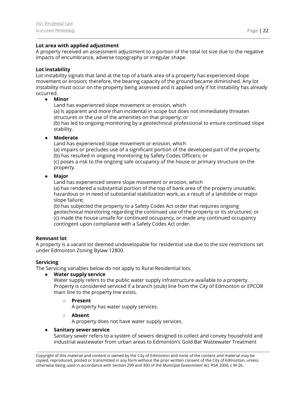#### **Lot area with applied adjustment**

A property received an assessment adjustment to a portion of the total lot size due to the negative impacts of encumbrance, adverse topography or irregular shape.

#### **Lot instability**

Lot instability signals that land at the top of a bank area of a property has experienced slope movement or erosion; therefore, the bearing capacity of the ground became diminished. Any lot instability must occur on the property being assessed and is applied only if lot instability has already occurred.

#### **● Minor**

Land has experienced slope movement or erosion, which (a) is apparent and more than incidental in scope but does not immediately threaten structures or the use of the amenities on that property; or (b) has led to ongoing monitoring by a geotechnical professional to ensure continued slope stability.

#### **● Moderate**

Land has experienced slope movement or erosion, which

(a) impairs or precludes use of a significant portion of the developed part of the property; (b) has resulted in ongoing monitoring by Safety Codes Officers; or

(c) poses a risk to the ongoing safe occupancy of the house or primary structure on the property.

#### **● Major**

Land has experienced severe slope movement or erosion, which

(a) has rendered a substantial portion of the top of bank area of the property unusable, hazardous or in need of substantial stabilization work, as a result of a landslide or major slope failure;

(b) has subjected the property to a Safety Codes Act order that requires ongoing geotechnical monitoring regarding the continued use of the property or its structures; or (c) made the house unsafe for continued occupancy, or made any continued occupancy contingent upon compliance with a Safety Codes Act order.

#### **Remnant lot**

A property is a vacant lot deemed undevelopable for residential use due to the size restrictions set under Edmonton Zoning Bylaw 12800.

#### **Servicing**

The Servicing variables below do not apply to Rural Residential lots.

#### **● Water supply service**

Water supply refers to the public water supply infrastructure available to a property. Property is considered serviced if a branch (stub) line from the City of Edmonton or EPCOR main line to the property line exists.

#### **○ Present**

A property has water supply services.

#### **○ Absent**

A property does not have water supply services.

#### **● Sanitary sewer service**

Sanitary sewer refers to a system of sewers designed to collect and convey household and industrial wastewater from urban areas to Edmonton's Gold Bar Wastewater Treatment

Copyright of this material and content is owned by the City of Edmonton and none of the content and material may be copied, reproduced, posted or transmitted in any form without the prior written consent of the City of Edmonton, unless otherwise being used in accordance with Section 299 and 300 of the *Municipal Government Act,* RSA 2000, c M-26.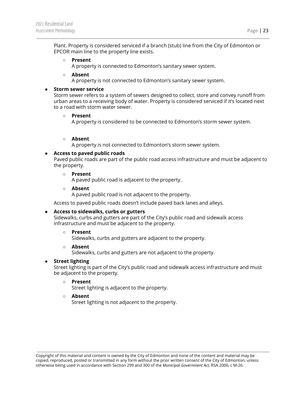Plant. Property is considered serviced if a branch (stub) line from the City of Edmonton or EPCOR main line to the property line exists.

#### **○ Present**

A property is connected to Edmonton's sanitary sewer system.

#### **○ Absent**

A property is not connected to Edmonton's sanitary sewer system.

#### **● Storm sewer service**

Storm sewer refers to a system of sewers designed to collect, store and convey runoff from urban areas to a receiving body of water. Property is considered serviced if it's located next to a road with storm water sewer.

#### **○ Present**

A property is considered to be connected to Edmonton's storm sewer system.

#### **○ Absent**

A property is not connected to Edmonton's storm sewer system.

#### **● Access to paved public roads**

Paved public roads are part of the public road access infrastructure and must be adjacent to the property.

#### **○ Present**

A paved public road is adjacent to the property.

#### **○ Absent**

A paved public road is not adjacent to the property.

Access to paved public roads doesn't include paved back lanes and alleys.

#### **● Access to sidewalks, curbs or gutters**

Sidewalks, curbs and gutters are part of the City's public road and sidewalk access infrastructure and must be adjacent to the property.

#### **○ Present**

Sidewalks, curbs and gutters are adjacent to the property.

#### **○ Absent**

Sidewalks, curbs and gutters are not adjacent to the property.

#### **● Street lighting**

Street lighting is part of the City's public road and sidewalk access infrastructure and must be adjacent to the property.

#### **○ Present**

Street lighting is adjacent to the property.

#### **○ Absent**

Street lighting is not adjacent to the property.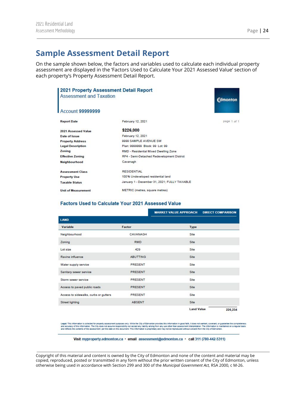## <span id="page-24-0"></span>**Sample Assessment Detail Report**

On the sample shown below, the factors and variables used to calculate each individual property assessment are displayed in the 'Factors Used to Calculate Your 2021 Assessed Value' section of each property's Property Assessment Detail Report.

| 2021 Property Assessment Detail Report<br><b>Assessment and Taxation</b> |                                              | <b>Edmonton</b> |
|--------------------------------------------------------------------------|----------------------------------------------|-----------------|
| Account 99999999                                                         |                                              |                 |
| <b>Report Date</b>                                                       | February 12, 2021                            | page 1 of 1     |
| 2021 Assessed Value                                                      | \$226,000                                    |                 |
| Date of Issue                                                            | February 12, 2021                            |                 |
| <b>Property Address</b>                                                  | 9999 SAMPLE AVENUE SW                        |                 |
| <b>Legal Description</b>                                                 | Plan: 9999999 Block: 99 Lot: 99              |                 |
| Zoning                                                                   | RMD - Residential Mixed Dwelling Zone        |                 |
| <b>Effective Zoning</b>                                                  | RF4 - Semi-Detached Redevelopment District   |                 |
| Neighbourhood                                                            | Cavanagh                                     |                 |
| <b>Assessment Class</b>                                                  | <b>RESIDENTIAL</b>                           |                 |
| <b>Property Use</b>                                                      | 100% Undeveloped residential land            |                 |
| <b>Taxable Status</b>                                                    | January 1 - December 31, 2021; FULLY TAXABLE |                 |
| <b>Unit of Measurement</b>                                               | METRIC (metres, square metres)               |                 |

#### Factors Used to Calculate Your 2021 Assessed Value

|                                       |                 | <b>MARKET VALUE APPROACH</b> | <b>DIRECT COMPARISON</b> |
|---------------------------------------|-----------------|------------------------------|--------------------------|
| <b>LAND</b>                           |                 |                              |                          |
| Variable                              | Factor          | <b>Type</b>                  |                          |
| Neighbourhood                         | CAVANAGH        | Site                         |                          |
| Zoning                                | <b>RMD</b>      | Site                         |                          |
| Lot size                              | 429             | Site                         |                          |
| Ravine influence                      | <b>ABUTTING</b> | Site                         |                          |
| Water supply service                  | PRESENT         | Site                         |                          |
| Sanitary sewer service                | PRESENT         | Site                         |                          |
| Storm sewer service                   | PRESENT         | Site                         |                          |
| Access to paved public roads          | PRESENT         | Site                         |                          |
| Access to sidewalks, curbs or gutters | PRESENT         | Site                         |                          |
| Street lighting                       | ABSENT          | Site                         |                          |
|                                       |                 | <b>Land Value</b>            | 226,234                  |

Legal: This information is collected for property assessment purposes only. While the Oby of Edmonton provides this information in good faith, it does not warrant, covenant, or guarantee the completeness<br>and accuracy of th

Visit myproperty.edmonton.ca · email assessment@edmonton.ca · call 311 (780-442-5311)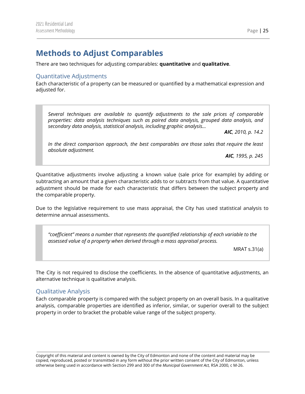## <span id="page-25-0"></span>**Methods to Adjust Comparables**

There are two techniques for adjusting comparables: **quantitative** and **qualitative**.

#### <span id="page-25-1"></span>Quantitative Adjustments

Each characteristic of a property can be measured or quantified by a mathematical expression and adjusted for.

*Several techniques are available to quantify adjustments to the sale prices of comparable properties: data analysis techniques such as paired data analysis, grouped data analysis, and secondary data analysis, statistical analysis, including graphic analysis…*

*AIC, 2010, p. 14.2*

*In the direct comparison approach, the best comparables are those sales that require the least absolute adjustment.*

*AIC, 1995, p. 245*

Quantitative adjustments involve adjusting a known value (sale price for example) by adding or subtracting an amount that a given characteristic adds to or subtracts from that value. A quantitative adjustment should be made for each characteristic that differs between the subject property and the comparable property.

Due to the legislative requirement to use mass appraisal, the City has used statistical analysis to determine annual assessments.

*"coefficient" means a number that represents the quantified relationship of each variable to the assessed value of a property when derived through a mass appraisal process.*

MRAT s.31(a)

The City is not required to disclose the coefficients. In the absence of quantitative adjustments, an alternative technique is qualitative analysis.

#### <span id="page-25-2"></span>Qualitative Analysis

Each comparable property is compared with the subject property on an overall basis. In a qualitative analysis, comparable properties are identified as inferior, similar, or superior overall to the subject property in order to bracket the probable value range of the subject property.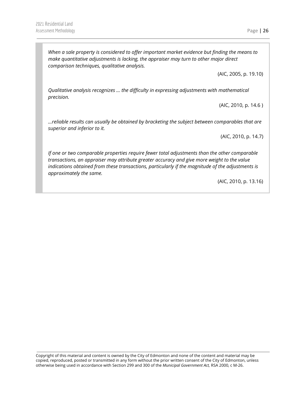*When a sale property is considered to offer important market evidence but finding the means to make quantitative adjustments is lacking, the appraiser may turn to other major direct comparison techniques, qualitative analysis.*

(AIC, 2005, p. 19.10)

*Qualitative analysis recognizes … the difficulty in expressing adjustments with mathematical precision.*

(AIC, 2010, p. 14.6 )

*…reliable results can usually be obtained by bracketing the subject between comparables that are superior and inferior to it.*

(AIC, 2010, p. 14.7)

*If one or two comparable properties require fewer total adjustments than the other comparable transactions, an appraiser may attribute greater accuracy and give more weight to the value indications obtained from these transactions, particularly if the magnitude of the adjustments is approximately the same.*

(AIC, 2010, p. 13.16)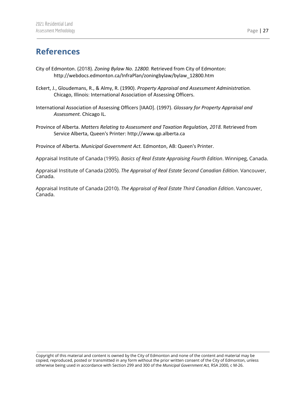## <span id="page-27-0"></span>**References**

- City of Edmonton. (2018). *Zoning Bylaw No. 12800.* Retrieved from City of Edmonton: http://webdocs.edmonton.ca/InfraPlan/zoningbylaw/bylaw\_12800.htm
- Eckert, J., Gloudemans, R., & Almy, R. (1990). *Property Appraisal and Assessment Administration.* Chicago, Illinois: International Association of Assessing Officers.
- International Association of Assessing Officers [IAAO]. (1997). *Glossary for Property Appraisal and Assessment.* Chicago IL.
- Province of Alberta. *Matters Relating to Assessment and Taxation Regulation, 2018.* Retrieved from Service Alberta, Queen's Printer: http://www.qp.alberta.ca

Province of Alberta. *Municipal Government Act.* Edmonton, AB: Queen's Printer.

Appraisal Institute of Canada (1995). *Basics of Real Estate Appraising Fourth Edition*. Winnipeg, Canada.

Appraisal Institute of Canada (2005). *The Appraisal of Real Estate Second Canadian Edition*. Vancouver, Canada.

Appraisal Institute of Canada (2010). *The Appraisal of Real Estate Third Canadian Edition*. Vancouver, Canada.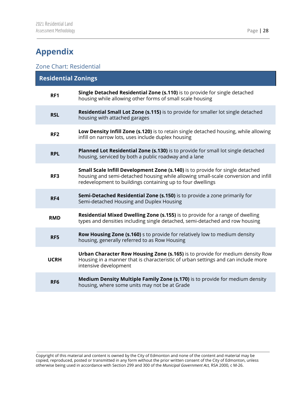## <span id="page-28-0"></span>**Appendix**

### <span id="page-28-1"></span>Zone Chart: Residential

| <b>Residential Zonings</b> |                                                                                                                                                                                                                                   |  |
|----------------------------|-----------------------------------------------------------------------------------------------------------------------------------------------------------------------------------------------------------------------------------|--|
| RF1                        | Single Detached Residential Zone (s.110) is to provide for single detached<br>housing while allowing other forms of small scale housing                                                                                           |  |
| <b>RSL</b>                 | <b>Residential Small Lot Zone (s.115)</b> is to provide for smaller lot single detached<br>housing with attached garages                                                                                                          |  |
| RF <sub>2</sub>            | Low Density Infill Zone (s.120) is to retain single detached housing, while allowing<br>infill on narrow lots, uses include duplex housing                                                                                        |  |
| <b>RPL</b>                 | Planned Lot Residential Zone (s.130) is to provide for small lot single detached<br>housing, serviced by both a public roadway and a lane                                                                                         |  |
| RF3                        | Small Scale Infill Development Zone (s.140) is to provide for single detached<br>housing and semi-detached housing while allowing small-scale conversion and infill<br>redevelopment to buildings containing up to four dwellings |  |
| RF4                        | Semi-Detached Residential Zone (s.150) is to provide a zone primarily for<br>Semi-detached Housing and Duplex Housing                                                                                                             |  |
| <b>RMD</b>                 | Residential Mixed Dwelling Zone (s.155) is to provide for a range of dwelling<br>types and densities including single detached, semi-detached and row housing                                                                     |  |
| RF5                        | Row Housing Zone (s.160) s to provide for relatively low to medium density<br>housing, generally referred to as Row Housing                                                                                                       |  |
| <b>UCRH</b>                | Urban Character Row Housing Zone (s.165) is to provide for medium density Row<br>Housing in a manner that is characteristic of urban settings and can include more<br>intensive development                                       |  |
| RF <sub>6</sub>            | Medium Density Multiple Family Zone (s.170) is to provide for medium density<br>housing, where some units may not be at Grade                                                                                                     |  |